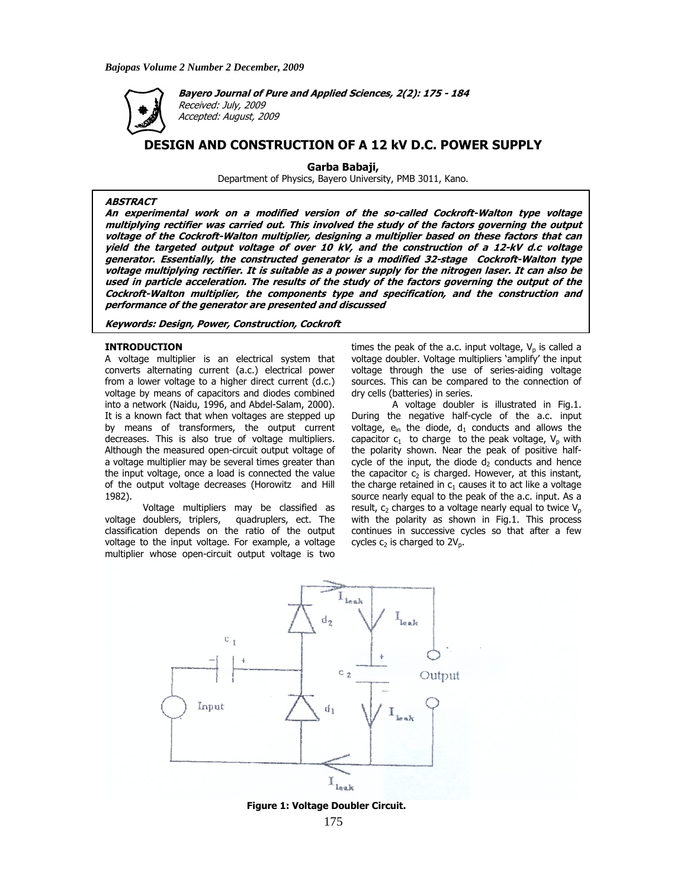

**Bayero Journal of Pure and Applied Sciences, 2(2): 175 - 184**  Received: July, 2009 Accepted: August, 2009

# **DESIGN AND CONSTRUCTION OF A 12 kV D.C. POWER SUPPLY**

**Garba Babaji,** 

Department of Physics, Bayero University, PMB 3011, Kano.

# **ABSTRACT**

**An experimental work on a modified version of the so-called Cockroft-Walton type voltage multiplying rectifier was carried out. This involved the study of the factors governing the output voltage of the Cockroft-Walton multiplier, designing a multiplier based on these factors that can yield the targeted output voltage of over 10 kV, and the construction of a 12-kV d.c voltage generator. Essentially, the constructed generator is a modified 32-stage Cockroft-Walton type voltage multiplying rectifier. It is suitable as a power supply for the nitrogen laser. It can also be used in particle acceleration. The results of the study of the factors governing the output of the Cockroft-Walton multiplier, the components type and specification, and the construction and performance of the generator are presented and discussed** 

# **Keywords: Design, Power, Construction, Cockroft**

## **INTRODUCTION**

A voltage multiplier is an electrical system that converts alternating current (a.c.) electrical power from a lower voltage to a higher direct current (d.c.) voltage by means of capacitors and diodes combined into a network (Naidu, 1996, and Abdel-Salam, 2000). It is a known fact that when voltages are stepped up by means of transformers, the output current decreases. This is also true of voltage multipliers. Although the measured open-circuit output voltage of a voltage multiplier may be several times greater than the input voltage, once a load is connected the value of the output voltage decreases (Horowitz and Hill 1982).

Voltage multipliers may be classified as voltage doublers, triplers, quadruplers, ect. The classification depends on the ratio of the output voltage to the input voltage. For example, a voltage multiplier whose open-circuit output voltage is two

times the peak of the a.c. input voltage,  $V_p$  is called a voltage doubler. Voltage multipliers 'amplify' the input voltage through the use of series-aiding voltage sources. This can be compared to the connection of dry cells (batteries) in series.

 A voltage doubler is illustrated in Fig.1. During the negative half-cycle of the a.c. input voltage,  $e_{in}$  the diode,  $d_1$  conducts and allows the capacitor  $c_1$  to charge to the peak voltage,  $V_p$  with the polarity shown. Near the peak of positive halfcycle of the input, the diode  $d_2$  conducts and hence the capacitor  $c_2$  is charged. However, at this instant, the charge retained in  $c_1$  causes it to act like a voltage source nearly equal to the peak of the a.c. input. As a result,  $c_2$  charges to a voltage nearly equal to twice  $V_p$ with the polarity as shown in Fig.1. This process continues in successive cycles so that after a few cycles  $c_2$  is charged to  $2V_p$ .



 **Figure 1: Voltage Doubler Circuit.**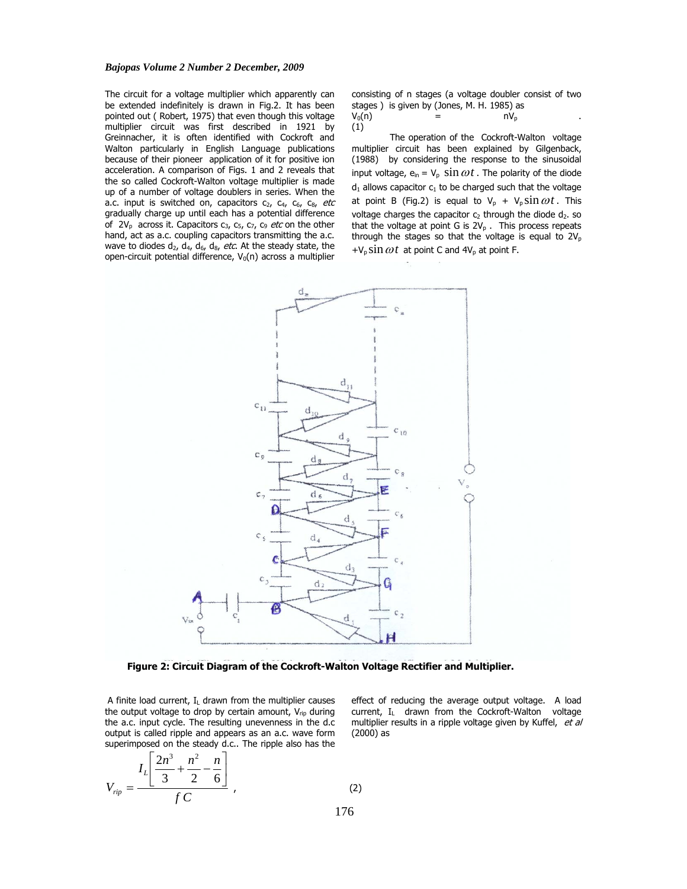The circuit for a voltage multiplier which apparently can be extended indefinitely is drawn in Fig.2. It has been pointed out ( Robert, 1975) that even though this voltage multiplier circuit was first described in 1921 by Greinnacher, it is often identified with Cockroft and Walton particularly in English Language publications because of their pioneer application of it for positive ion acceleration. A comparison of Figs. 1 and 2 reveals that the so called Cockroft-Walton voltage multiplier is made up of a number of voltage doublers in series. When the a.c. input is switched on, capacitors  $c_2$ ,  $c_4$ ,  $c_6$ ,  $c_8$ , etc gradually charge up until each has a potential difference of  $2V_p$  across it. Capacitors  $c_3$ ,  $c_5$ ,  $c_7$ ,  $c_9$  *etc* on the other hand, act as a.c. coupling capacitors transmitting the a.c. wave to diodes  $d_2$ ,  $d_4$ ,  $d_6$ ,  $d_8$ , etc. At the steady state, the open-circuit potential difference,  $V_0(n)$  across a multiplier

consisting of n stages (a voltage doubler consist of two stages ) is given by (Jones, M. H. 1985) as

| $V_0(n)$ | -<br>= | $nV_{p}$ |  |
|----------|--------|----------|--|
| (1)      |        |          |  |

The operation of the Cockroft-Walton voltage multiplier circuit has been explained by Gilgenback, (1988) by considering the response to the sinusoidal input voltage,  $e_{in} = V_p \sin \omega t$ . The polarity of the diode  $d_1$  allows capacitor  $c_1$  to be charged such that the voltage at point B (Fig.2) is equal to  $V_p + V_p \sin \omega t$ . This voltage charges the capacitor  $c_2$  through the diode  $d_2$ . so that the voltage at point G is  $2V_p$ . This process repeats through the stages so that the voltage is equal to  $2V_p$  $+V_p \sin \omega t$  at point C and  $4V_p$  at point F.



 **Figure 2: Circuit Diagram of the Cockroft-Walton Voltage Rectifier and Multiplier.** 

A finite load current,  $I_L$  drawn from the multiplier causes the output voltage to drop by certain amount,  $V_{\text{rin}}$  during the a.c. input cycle. The resulting unevenness in the d.c output is called ripple and appears as an a.c. wave form superimposed on the steady d.c.. The ripple also has the

$$
V_{rip} = \frac{I_L \left[ \frac{2n^3}{3} + \frac{n^2}{2} - \frac{n}{6} \right]}{f C},
$$
 (2)

effect of reducing the average output voltage. A load current, I<sub>L</sub> drawn from the Cockroft-Walton voltage multiplier results in a ripple voltage given by Kuffel, et al (2000) as

176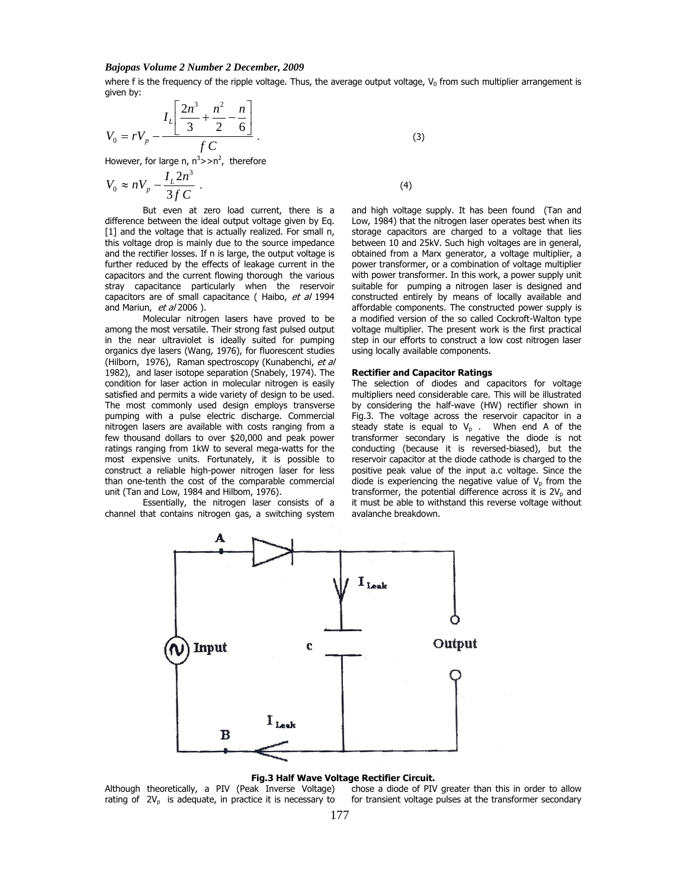where  $f$  is the frequency of the ripple voltage. Thus, the average output voltage,  $V_0$  from such multiplier arrangement is given by:

$$
V_0 = rV_p - \frac{I_L \left[ \frac{2n^3}{3} + \frac{n^2}{2} - \frac{n}{6} \right]}{f C}.
$$
 (3)

However, for large n,  $n^3$ >>n<sup>2</sup>, therefore

$$
V_0 \approx nV_p - \frac{I_L 2n^3}{3f C} \,. \tag{4}
$$

But even at zero load current, there is a difference between the ideal output voltage given by Eq. [1] and the voltage that is actually realized. For small n, this voltage drop is mainly due to the source impedance and the rectifier losses. If n is large, the output voltage is further reduced by the effects of leakage current in the capacitors and the current flowing thorough the various stray capacitance particularly when the reservoir capacitors are of small capacitance ( Haibo, et al 1994 and Mariun, et al 2006).

 Molecular nitrogen lasers have proved to be among the most versatile. Their strong fast pulsed output in the near ultraviolet is ideally suited for pumping organics dye lasers (Wang, 1976), for fluorescent studies (Hilborn, 1976), Raman spectroscopy (Kunabenchi, et al 1982), and laser isotope separation (Snabely, 1974). The condition for laser action in molecular nitrogen is easily satisfied and permits a wide variety of design to be used. The most commonly used design employs transverse pumping with a pulse electric discharge. Commercial nitrogen lasers are available with costs ranging from a few thousand dollars to over \$20,000 and peak power ratings ranging from 1kW to several mega-watts for the most expensive units. Fortunately, it is possible to construct a reliable high-power nitrogen laser for less than one-tenth the cost of the comparable commercial unit (Tan and Low, 1984 and Hilbom, 1976).

 Essentially, the nitrogen laser consists of a channel that contains nitrogen gas, a switching system

and high voltage supply. It has been found (Tan and Low, 1984) that the nitrogen laser operates best when its storage capacitors are charged to a voltage that lies between 10 and 25kV. Such high voltages are in general, obtained from a Marx generator, a voltage multiplier, a power transformer, or a combination of voltage multiplier with power transformer. In this work, a power supply unit suitable for pumping a nitrogen laser is designed and constructed entirely by means of locally available and affordable components. The constructed power supply is a modified version of the so called Cockroft-Walton type voltage multiplier. The present work is the first practical step in our efforts to construct a low cost nitrogen laser using locally available components.

#### **Rectifier and Capacitor Ratings**

The selection of diodes and capacitors for voltage multipliers need considerable care. This will be illustrated by considering the half-wave (HW) rectifier shown in Fig.3. The voltage across the reservoir capacitor in a steady state is equal to  $V_p$ . When end A of the transformer secondary is negative the diode is not conducting (because it is reversed-biased), but the reservoir capacitor at the diode cathode is charged to the positive peak value of the input a.c voltage. Since the diode is experiencing the negative value of  $V_p$  from the transformer, the potential difference across it is  $2V_p$  and it must be able to withstand this reverse voltage without avalanche breakdown.



#### **Fig.3 Half Wave Voltage Rectifier Circuit.**

Although theoretically, a PIV (Peak Inverse Voltage) rating of  $2V_p$  is adequate, in practice it is necessary to chose a diode of PIV greater than this in order to allow for transient voltage pulses at the transformer secondary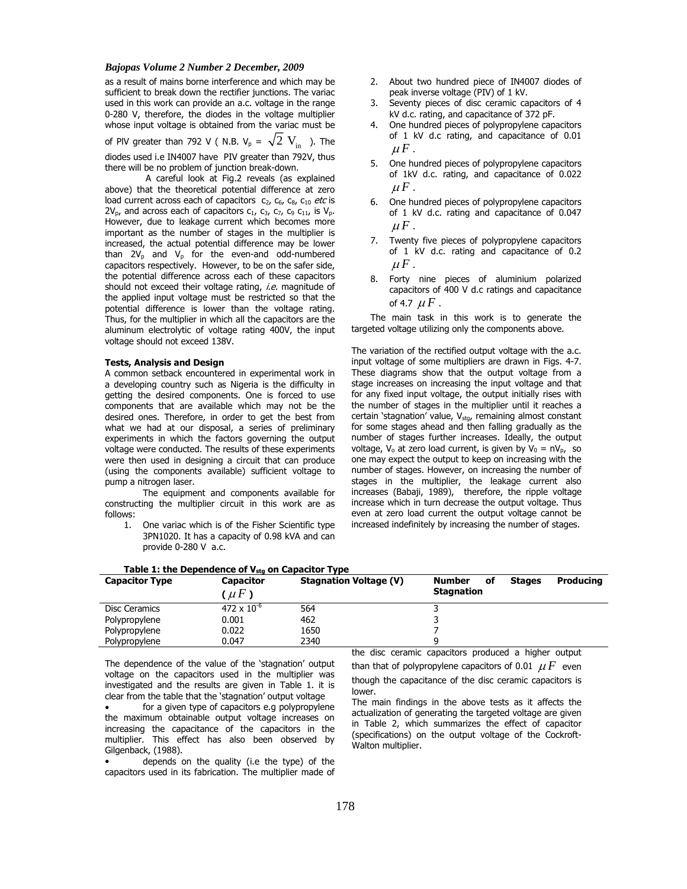as a result of mains borne interference and which may be sufficient to break down the rectifier junctions. The variac used in this work can provide an a.c. voltage in the range 0-280 V, therefore, the diodes in the voltage multiplier whose input voltage is obtained from the variac must be

of PIV greater than 792 V ( N.B.  $V_p = \sqrt{2} V_{in}$  ). The diodes used i.e IN4007 have PIV greater than 792V, thus there will be no problem of junction break-down.

 A careful look at Fig.2 reveals (as explained above) that the theoretical potential difference at zero load current across each of capacitors  $c_2$ ,  $c_6$ ,  $c_8$ ,  $c_{10}$  etc is  $2V_p$ , and across each of capacitors  $c_1$ ,  $c_3$ ,  $c_7$ ,  $c_9$   $c_{11}$ , is  $V_p$ . However, due to leakage current which becomes more important as the number of stages in the multiplier is increased, the actual potential difference may be lower than  $2V_p$  and  $V_p$  for the even-and odd-numbered capacitors respectively. However, to be on the safer side, the potential difference across each of these capacitors should not exceed their voltage rating, *i.e.* magnitude of the applied input voltage must be restricted so that the potential difference is lower than the voltage rating. Thus, for the multiplier in which all the capacitors are the aluminum electrolytic of voltage rating 400V, the input voltage should not exceed 138V.

## **Tests, Analysis and Design**

A common setback encountered in experimental work in a developing country such as Nigeria is the difficulty in getting the desired components. One is forced to use components that are available which may not be the desired ones. Therefore, in order to get the best from what we had at our disposal, a series of preliminary experiments in which the factors governing the output voltage were conducted. The results of these experiments were then used in designing a circuit that can produce (using the components available) sufficient voltage to pump a nitrogen laser.

 The equipment and components available for constructing the multiplier circuit in this work are as follows:

1. One variac which is of the Fisher Scientific type 3PN1020. It has a capacity of 0.98 kVA and can provide 0-280 V a.c.

Table 1: the Dependence of V<sub>stg</sub> on Capacitor Type

- 2. About two hundred piece of IN4007 diodes of peak inverse voltage (PIV) of 1 kV.
- 3. Seventy pieces of disc ceramic capacitors of 4 kV d.c. rating, and capacitance of 372 pF.
- 4. One hundred pieces of polypropylene capacitors of 1 kV d.c rating, and capacitance of 0.01  $\mu F$ .
- 5. One hundred pieces of polypropylene capacitors of 1kV d.c. rating, and capacitance of 0.022  $\mu F$ .
- 6. One hundred pieces of polypropylene capacitors of 1 kV d.c. rating and capacitance of 0.047  $\mu F$ .
- 7. Twenty five pieces of polypropylene capacitors of 1 kV d.c. rating and capacitance of 0.2  $\mu F$ .
- 8. Forty nine pieces of aluminium polarized capacitors of 400 V d.c ratings and capacitance of 4.7  $\mu$  *F* .

The main task in this work is to generate the targeted voltage utilizing only the components above.

The variation of the rectified output voltage with the a.c. input voltage of some multipliers are drawn in Figs. 4-7. These diagrams show that the output voltage from a stage increases on increasing the input voltage and that for any fixed input voltage, the output initially rises with the number of stages in the multiplier until it reaches a certain 'stagnation' value,  $V_{\text{stag}}$ , remaining almost constant for some stages ahead and then falling gradually as the number of stages further increases. Ideally, the output voltage, V<sub>o</sub> at zero load current, is given by V<sub>0</sub> =  $nV_p$ , so one may expect the output to keep on increasing with the number of stages. However, on increasing the number of stages in the multiplier, the leakage current also increases (Babaji, 1989), therefore, the ripple voltage increase which in turn decrease the output voltage. Thus even at zero load current the output voltage cannot be increased indefinitely by increasing the number of stages.

| <b>Capacitor Type</b> | Capacitor       | <b>Stagnation Voltage (V)</b> | <b>Producing</b><br>оf<br><b>Stages</b><br>Number |
|-----------------------|-----------------|-------------------------------|---------------------------------------------------|
|                       | $\mu F$         |                               | <b>Stagnation</b>                                 |
| Disc Ceramics         | 472 x $10^{-6}$ | 564                           |                                                   |
| Polypropylene         | 0.001           | 462                           |                                                   |
| Polypropylene         | 0.022           | 1650                          |                                                   |
| Polypropylene         | 0.047           | 2340                          |                                                   |

The dependence of the value of the 'stagnation' output voltage on the capacitors used in the multiplier was investigated and the results are given in Table 1. it is clear from the table that the 'stagnation' output voltage

for a given type of capacitors e.g polypropylene the maximum obtainable output voltage increases on increasing the capacitance of the capacitors in the multiplier. This effect has also been observed by Gilgenback, (1988).

• depends on the quality (i.e the type) of the capacitors used in its fabrication. The multiplier made of the disc ceramic capacitors produced a higher output

than that of polypropylene capacitors of 0.01  $\mu F$  even though the capacitance of the disc ceramic capacitors is lower.

The main findings in the above tests as it affects the actualization of generating the targeted voltage are given in Table 2, which summarizes the effect of capacitor (specifications) on the output voltage of the Cockroft-Walton multiplier.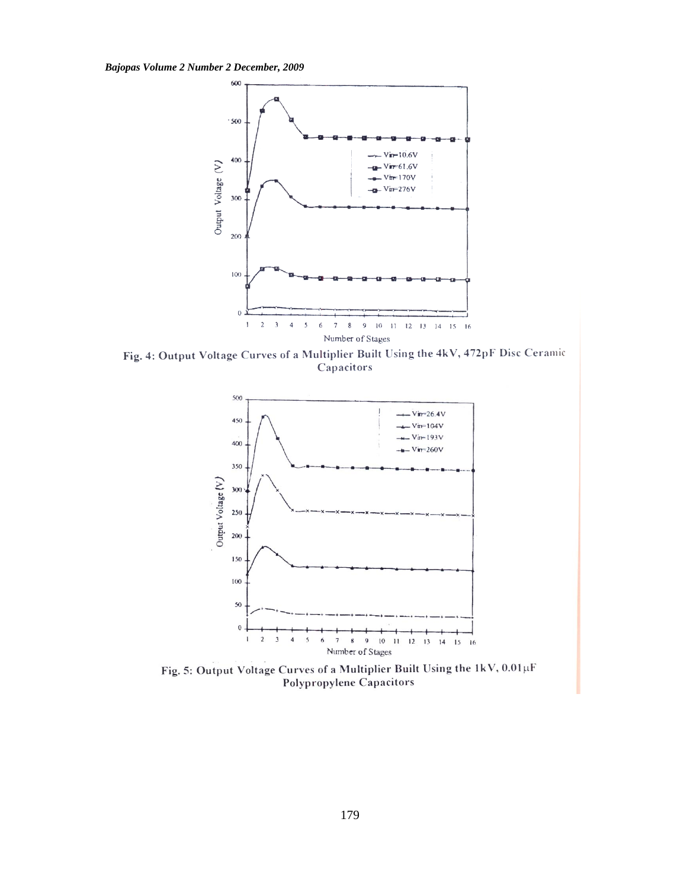

Fig. 4: Output Voltage Curves of a Multiplier Built Using the 4kV, 472pF Disc Ceramic Capacitors



Fig. 5: Output Voltage Curves of a Multiplier Built Using the 1kV, 0.01µF Polypropylene Capacitors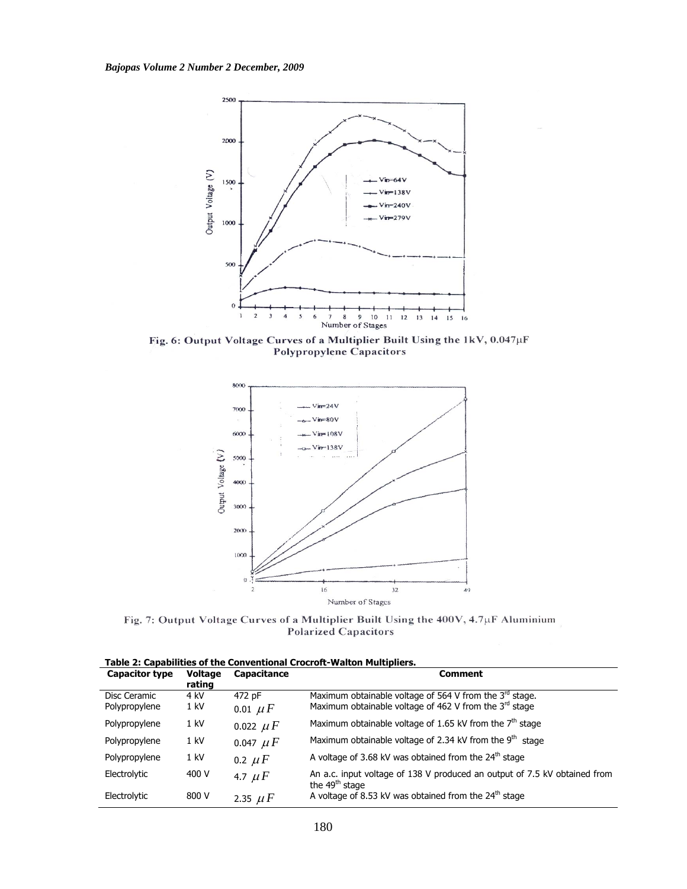

Fig. 6: Output Voltage Curves of a Multiplier Built Using the 1kV, 0.047µF Polypropylene Capacitors



Fig. 7: Output Voltage Curves of a Multiplier Built Using the 400V, 4.7µF Aluminium **Polarized Capacitors** 

**Table 2: Capabilities of the Conventional Crocroft-Walton Multipliers.** 

| <b>Capacitor type</b> | Voltage<br>rating | Capacitance   | <b>Comment</b>                                                                                          |
|-----------------------|-------------------|---------------|---------------------------------------------------------------------------------------------------------|
| Disc Ceramic          | 4 kV              | 472 pF        | Maximum obtainable voltage of 564 V from the $3^{rd}$ stage.                                            |
| Polypropylene         | $1$ kV            | 0.01 $\mu F$  | Maximum obtainable voltage of 462 V from the 3rd stage                                                  |
| Polypropylene         | $1$ kV            | 0.022 $\mu F$ | Maximum obtainable voltage of 1.65 kV from the $7th$ stage                                              |
| Polypropylene         | $1$ kV            | 0.047 $\mu F$ | Maximum obtainable voltage of 2.34 kV from the $9th$ stage                                              |
| Polypropylene         | $1$ kV            | 0.2 $\mu$ F   | A voltage of 3.68 kV was obtained from the $24th$ stage                                                 |
| Electrolytic          | 400 V             | 4.7 $\mu$ F   | An a.c. input voltage of 138 V produced an output of 7.5 kV obtained from<br>the 49 <sup>th</sup> stage |
| Electrolytic          | 800 V             | 2.35 $\mu F$  | A voltage of 8.53 kV was obtained from the $24th$ stage                                                 |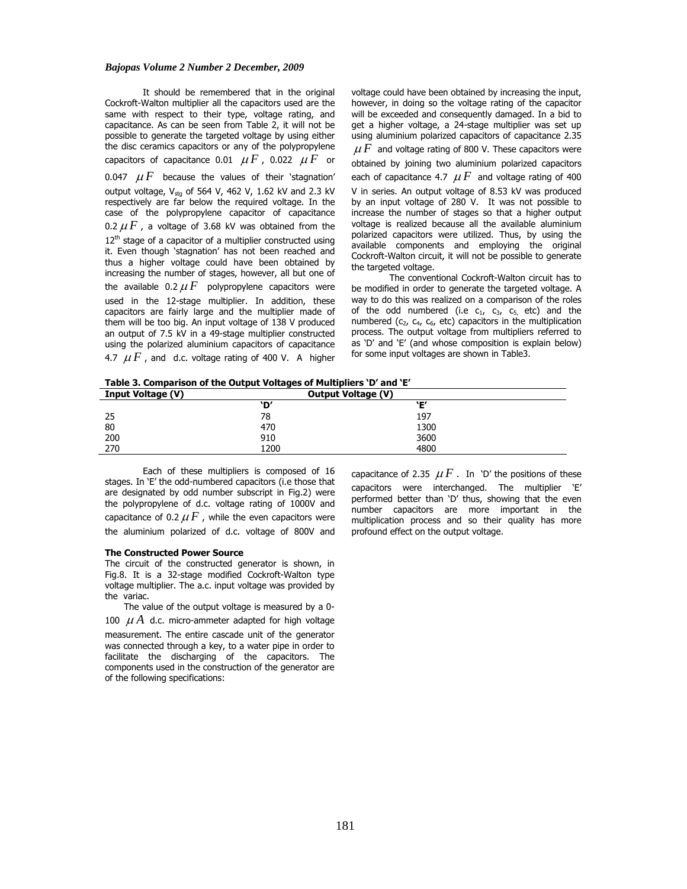It should be remembered that in the original Cockroft-Walton multiplier all the capacitors used are the same with respect to their type, voltage rating, and capacitance. As can be seen from Table 2, it will not be possible to generate the targeted voltage by using either the disc ceramics capacitors or any of the polypropylene capacitors of capacitance 0.01  $\mu F$ , 0.022  $\mu F$  or 0.047  $\mu$  *F* because the values of their 'stagnation' output voltage,  $V_{\text{stg}}$  of 564 V, 462 V, 1.62 kV and 2.3 kV respectively are far below the required voltage. In the case of the polypropylene capacitor of capacitance 0.2  $\mu$  *F*, a voltage of 3.68 kV was obtained from the  $12<sup>th</sup>$  stage of a capacitor of a multiplier constructed using it. Even though 'stagnation' has not been reached and thus a higher voltage could have been obtained by increasing the number of stages, however, all but one of the available 0.2  $\mu$  *F* polypropylene capacitors were used in the 12-stage multiplier. In addition, these capacitors are fairly large and the multiplier made of them will be too big. An input voltage of 138 V produced an output of 7.5 kV in a 49-stage multiplier constructed using the polarized aluminium capacitors of capacitance 4.7  $\mu$  *F*, and d.c. voltage rating of 400 V. A higher

voltage could have been obtained by increasing the input, however, in doing so the voltage rating of the capacitor will be exceeded and consequently damaged. In a bid to get a higher voltage, a 24-stage multiplier was set up using aluminium polarized capacitors of capacitance 2.35  $\mu F$  and voltage rating of 800 V. These capacitors were obtained by joining two aluminium polarized capacitors each of capacitance 4.7  $\mu$  *F* and voltage rating of 400 V in series. An output voltage of 8.53 kV was produced by an input voltage of 280 V. It was not possible to increase the number of stages so that a higher output voltage is realized because all the available aluminium polarized capacitors were utilized. Thus, by using the available components and employing the original Cockroft-Walton circuit, it will not be possible to generate the targeted voltage.

 The conventional Cockroft-Walton circuit has to be modified in order to generate the targeted voltage. A way to do this was realized on a comparison of the roles of the odd numbered (i.e  $c_1$ ,  $c_3$ ,  $c_5$ , etc) and the numbered ( $c_2$ ,  $c_4$ ,  $c_6$ , etc) capacitors in the multiplication process. The output voltage from multipliers referred to as 'D' and 'E' (and whose composition is explain below) for some input voltages are shown in Table3.

**Table 3. Comparison of the Output Voltages of Multipliers 'D' and 'E'** 

| <b>Input Voltage (V)</b> | <b>Output Voltage (V)</b> |      |
|--------------------------|---------------------------|------|
|                          | `D′                       | `Ε′  |
| 25                       | 78                        | 197  |
| 80                       | 470                       | 1300 |
| 200                      | 910                       | 3600 |
| 270                      | 1200                      | 4800 |

Each of these multipliers is composed of 16 stages. In 'E' the odd-numbered capacitors (i.e those that are designated by odd number subscript in Fig.2) were the polypropylene of d.c. voltage rating of 1000V and capacitance of 0.2  $\mu$  *F*, while the even capacitors were the aluminium polarized of d.c. voltage of 800V and

#### **The Constructed Power Source**

The circuit of the constructed generator is shown, in Fig.8. It is a 32-stage modified Cockroft-Walton type voltage multiplier. The a.c. input voltage was provided by the variac.

The value of the output voltage is measured by a 0- 100  $\mu A$  d.c. micro-ammeter adapted for high voltage measurement. The entire cascade unit of the generator was connected through a key, to a water pipe in order to facilitate the discharging of the capacitors. The components used in the construction of the generator are of the following specifications:

capacitance of 2.35  $\mu$  *F* . In 'D' the positions of these capacitors were interchanged. The multiplier 'E' performed better than 'D' thus, showing that the even number capacitors are more important in the multiplication process and so their quality has more profound effect on the output voltage.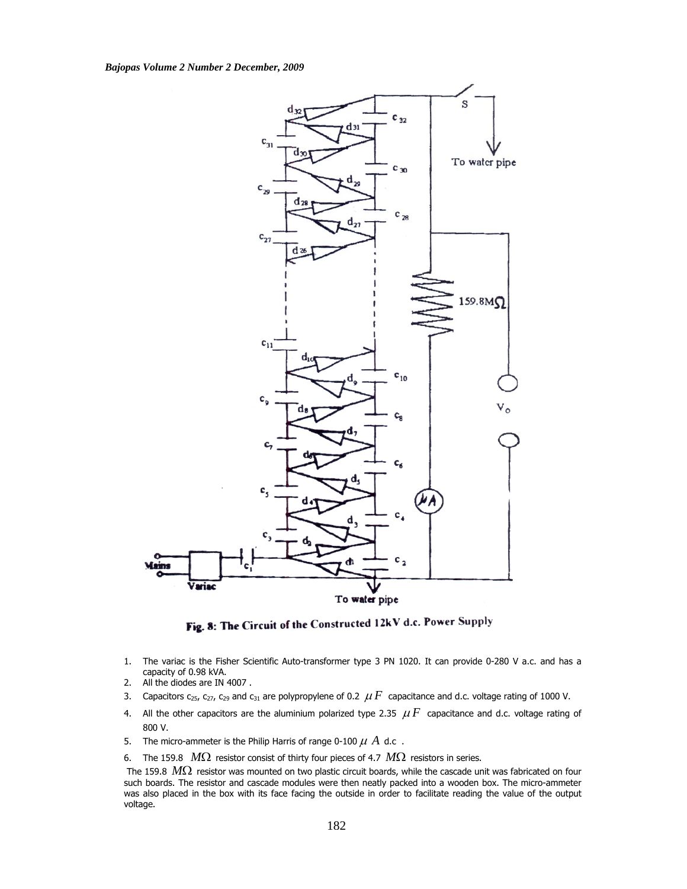

Fig. 8: The Circuit of the Constructed 12kV d.c. Power Supply

- 1. The variac is the Fisher Scientific Auto-transformer type 3 PN 1020. It can provide 0-280 V a.c. and has a capacity of 0.98 kVA.
- 2. All the diodes are IN 4007 .
- 3. Capacitors  $c_{25}$ ,  $c_{27}$ ,  $c_{29}$  and  $c_{31}$  are polypropylene of 0.2  $\mu$  F capacitance and d.c. voltage rating of 1000 V.
- 4. All the other capacitors are the aluminium polarized type 2.35  $\mu$  F capacitance and d.c. voltage rating of 800 V.
- 5. The micro-ammeter is the Philip Harris of range 0-100  $\mu$   $\dot{A}$  d.c.
- 6. The 159.8 *M*Ω resistor consist of thirty four pieces of 4.7 *M*Ω resistors in series.

 The 159.8 *M*Ω resistor was mounted on two plastic circuit boards, while the cascade unit was fabricated on four such boards. The resistor and cascade modules were then neatly packed into a wooden box. The micro-ammeter was also placed in the box with its face facing the outside in order to facilitate reading the value of the output voltage.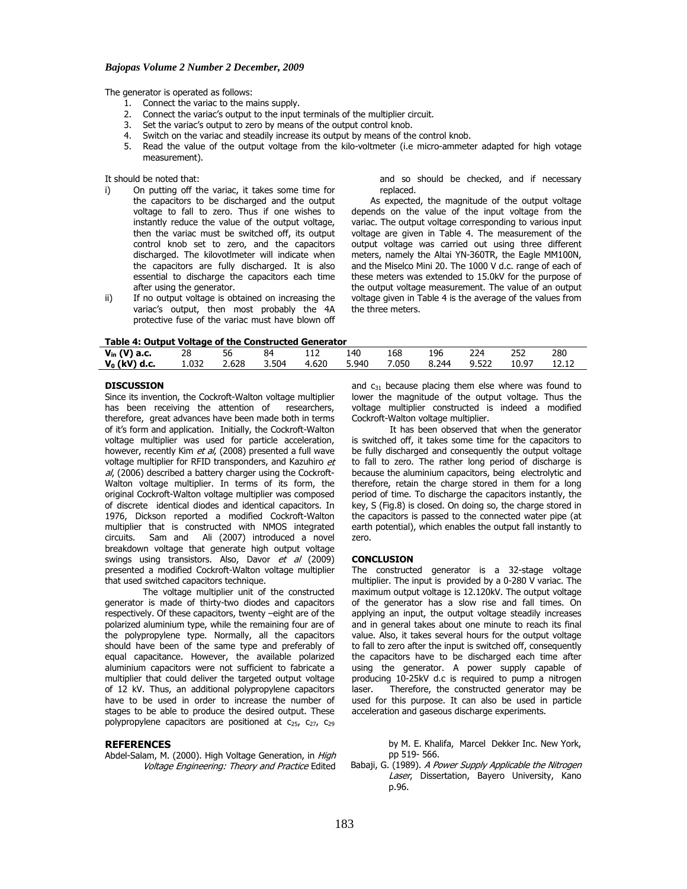The generator is operated as follows:

- 1. Connect the variac to the mains supply.
- 2. Connect the variac's output to the input terminals of the multiplier circuit.<br>3. Set the variac's output to zero by means of the output control knob.
- 3. Set the variac's output to zero by means of the output control knob.<br>4. Switch on the variac and steadily increase its output by means of the
- 4. Switch on the variac and steadily increase its output by means of the control knob.<br>5. Read the value of the output voltage from the kilo-voltmeter (i.e micro-ammete
- Read the value of the output voltage from the kilo-voltmeter (i.e micro-ammeter adapted for high votage measurement).

It should be noted that:

- i) On putting off the variac, it takes some time for the capacitors to be discharged and the output voltage to fall to zero. Thus if one wishes to instantly reduce the value of the output voltage, then the variac must be switched off, its output control knob set to zero, and the capacitors discharged. The kilovotlmeter will indicate when the capacitors are fully discharged. It is also essential to discharge the capacitors each time after using the generator.
- ii) If no output voltage is obtained on increasing the variac's output, then most probably the 4A protective fuse of the variac must have blown off

and so should be checked, and if necessary replaced.

As expected, the magnitude of the output voltage depends on the value of the input voltage from the variac. The output voltage corresponding to various input voltage are given in Table 4. The measurement of the output voltage was carried out using three different meters, namely the Altai YN-360TR, the Eagle MM100N, and the Miselco Mini 20. The 1000 V d.c. range of each of these meters was extended to 15.0kV for the purpose of the output voltage measurement. The value of an output voltage given in Table 4 is the average of the values from the three meters.

| $V_{in}$ (V) a.c. | 28    | 56    | 84    | ⊥⊥∠   | 140   | 168   | 196   | 224   | 252   | 280   |
|-------------------|-------|-------|-------|-------|-------|-------|-------|-------|-------|-------|
| $V_0$ (kV) d.c.   | 1.032 | 2.628 | 3.504 | 4.620 | 5.940 | 7.050 | 8.244 | 9.522 | 10.97 | 12.12 |

#### **DISCUSSION**

Since its invention, the Cockroft-Walton voltage multiplier has been receiving the attention of researchers, therefore, great advances have been made both in terms of it's form and application. Initially, the Cockroft-Walton voltage multiplier was used for particle acceleration, however, recently Kim et al, (2008) presented a full wave voltage multiplier for RFID transponders, and Kazuhiro et al, (2006) described a battery charger using the Cockroft-Walton voltage multiplier. In terms of its form, the original Cockroft-Walton voltage multiplier was composed of discrete identical diodes and identical capacitors. In 1976, Dickson reported a modified Cockroft-Walton multiplier that is constructed with NMOS integrated circuits. Sam and Ali (2007) introduced a novel breakdown voltage that generate high output voltage swings using transistors. Also, Davor et al (2009) presented a modified Cockroft-Walton voltage multiplier that used switched capacitors technique.

The voltage multiplier unit of the constructed generator is made of thirty-two diodes and capacitors respectively. Of these capacitors, twenty –eight are of the polarized aluminium type, while the remaining four are of the polypropylene type. Normally, all the capacitors should have been of the same type and preferably of equal capacitance. However, the available polarized aluminium capacitors were not sufficient to fabricate a multiplier that could deliver the targeted output voltage of 12 kV. Thus, an additional polypropylene capacitors have to be used in order to increase the number of stages to be able to produce the desired output. These polypropylene capacitors are positioned at  $c_{25}$ ,  $c_{27}$ ,  $c_{29}$ 

# **REFERENCES**

Abdel-Salam, M. (2000). High Voltage Generation, in *High* Voltage Engineering: Theory and Practice Edited and  $c_{31}$  because placing them else where was found to lower the magnitude of the output voltage. Thus the voltage multiplier constructed is indeed a modified Cockroft-Walton voltage multiplier.

 It has been observed that when the generator is switched off, it takes some time for the capacitors to be fully discharged and consequently the output voltage to fall to zero. The rather long period of discharge is because the aluminium capacitors, being electrolytic and therefore, retain the charge stored in them for a long period of time. To discharge the capacitors instantly, the key, S (Fig.8) is closed. On doing so, the charge stored in the capacitors is passed to the connected water pipe (at earth potential), which enables the output fall instantly to zero.

#### **CONCLUSION**

The constructed generator is a 32-stage voltage multiplier. The input is provided by a 0-280 V variac. The maximum output voltage is 12.120kV. The output voltage of the generator has a slow rise and fall times. On applying an input, the output voltage steadily increases and in general takes about one minute to reach its final value. Also, it takes several hours for the output voltage to fall to zero after the input is switched off, consequently the capacitors have to be discharged each time after using the generator. A power supply capable of producing 10-25kV d.c is required to pump a nitrogen laser. Therefore, the constructed generator may be used for this purpose. It can also be used in particle acceleration and gaseous discharge experiments.

> by M. E. Khalifa, Marcel Dekker Inc. New York, pp 519- 566.

Babaji, G. (1989). A Power Supply Applicable the Nitrogen Laser, Dissertation, Bayero University, Kano p.96.